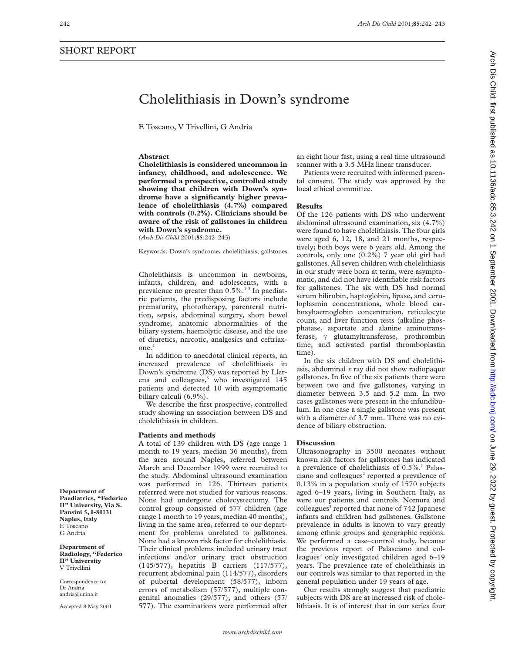# Cholelithiasis in Down's syndrome

E Toscano, V Trivellini, G Andria

## **Abstract**

**Cholelithiasis is considered uncommon in infancy, childhood, and adolescence. We performed a prospective, controlled study showing that children with Down's syndrome have a significantly higher prevalence of cholelithiasis (4.7%) compared with controls (0.2%). Clinicians should be aware of the risk of gallstones in children with Down's syndrome.**

(*Arch Dis Child* 2001;**85**:242–243)

Keywords: Down's syndrome; cholelithiasis; gallstones

Cholelithiasis is uncommon in newborns, infants, children, and adolescents, with a prevalence no greater than 0.5%.<sup>1-3</sup> In paediatric patients, the predisposing factors include prematurity, phototherapy, parenteral nutrition, sepsis, abdominal surgery, short bowel syndrome, anatomic abnormalities of the biliary system, haemolytic disease, and the use of diuretics, narcotic, analgesics and ceftriaxone.<sup>4</sup>

In addition to anecdotal clinical reports, an increased prevalence of cholelithiasis in Down's syndrome (DS) was reported by Llerena and colleagues,<sup>5</sup> who investigated 145 patients and detected 10 with asymptomatic biliary calculi (6.9%).

We describe the first prospective, controlled study showing an association between DS and cholelithiasis in children.

## **Patients and methods**

A total of 139 children with DS (age range 1 month to 19 years, median 36 months), from the area around Naples, referred between March and December 1999 were recruited to the study. Abdominal ultrasound examination was performed in 126. Thirteen patients referrred were not studied for various reasons. None had undergone cholecystectomy. The control group consisted of 577 children (age range 1 month to 19 years, median 40 months), living in the same area, referred to our department for problems unrelated to gallstones. None had a known risk factor for cholelithiasis. Their clinical problems included urinary tract infections and/or urinary tract obstruction (145/577), hepatitis B carriers (117/577), recurrent abdominal pain (114/577), disorders of pubertal development (58/577), inborn errors of metabolism (57/577), multiple congenital anomalies (29/577), and others (57/ 577). The examinations were performed after

an eight hour fast, using a real time ultrasound scanner with a 3.5 MHz linear transducer.

Patients were recruited with informed parental consent. The study was approved by the local ethical committee.

#### **Results**

Of the 126 patients with DS who underwent abdominal ultrasound examination, six (4.7%) were found to have cholelithiasis. The four girls were aged 6, 12, 18, and 21 months, respectively; both boys were 6 years old. Among the controls, only one (0.2%) 7 year old girl had gallstones. All seven children with cholelithiasis in our study were born at term, were asymptomatic, and did not have identifiable risk factors for gallstones. The six with DS had normal serum bilirubin, haptoglobin, lipase, and ceruloplasmin concentrations, whole blood carboxyhaemoglobin concentration, reticulocyte count, and liver function tests (alkaline phosphatase, aspartate and alanine aminotransferase,  $\gamma$  glutamyltransferase, prothrombin time, and activated partial thromboplastin time).

In the six children with DS and cholelithiasis, abdominal *x* ray did not show radiopaque gallstones. In five of the six patients there were between two and five gallstones, varying in diameter between 3.5 and 5.2 mm. In two cases gallstones were present in the infundibulum. In one case a single gallstone was present with a diameter of 3.7 mm. There was no evidence of biliary obstruction.

## **Discussion**

Ultrasonography in 3500 neonates without known risk factors for gallstones has indicated a prevalence of cholelithiasis of  $0.5\%$ <sup>1</sup> Palasciano and colleagues<sup>2</sup> reported a prevalence of 0.13% in a population study of 1570 subjects aged 6–19 years, living in Southern Italy, as were our patients and controls. Nomura and colleagues<sup>3</sup> reported that none of 742 Japanese infants and children had gallstones. Gallstone prevalence in adults is known to vary greatly among ethnic groups and geographic regions. We performed a case–control study, because the previous report of Palasciano and colleagues<sup>2</sup> only investigated children aged  $6-19$ years. The prevalence rate of cholelithiasis in our controls was similar to that reported in the general population under 19 years of age.

Our results strongly suggest that paediatric subjects with DS are at increased risk of cholelithiasis. It is of interest that in our series four

**Department of Paediatrics, "Federico II" University, Via S. Pansini 5, I-80131 Naples, Italy** E Toscano G Andria

**Department of Radiology, "Federico II" University** V Trivellini

Correspondence to: Dr Andria andria@unina.it

Accepted 8 May 2001